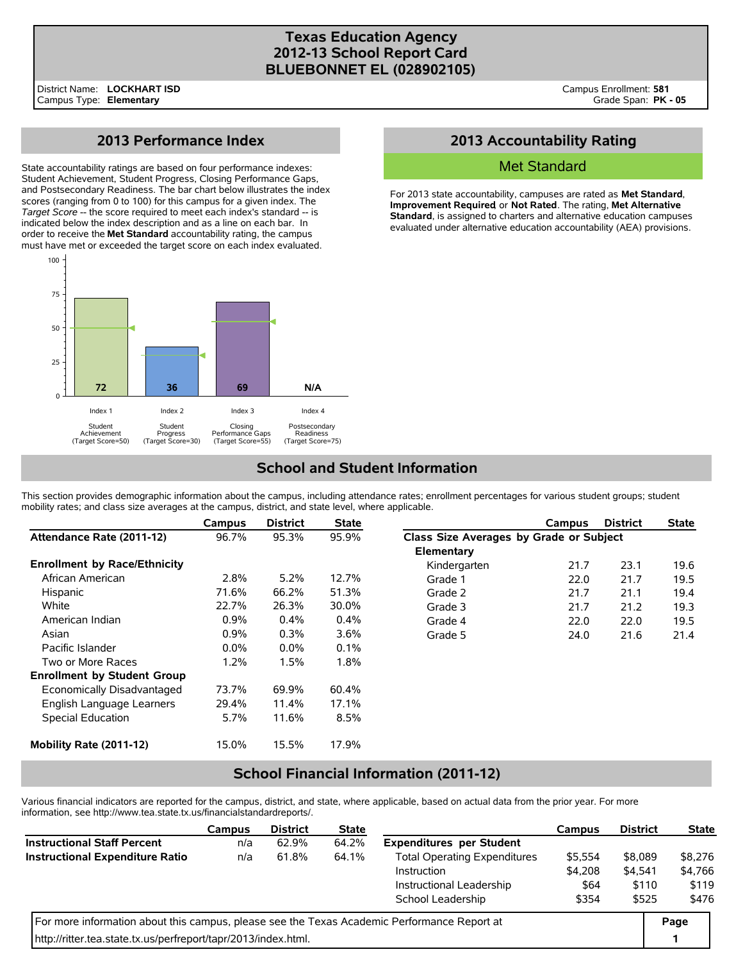### **Texas Education Agency 2012-13 School Report Card BLUEBONNET EL (028902105)**

## **2013 Performance Index**

State accountability ratings are based on four performance indexes: Student Achievement, Student Progress, Closing Performance Gaps, and Postsecondary Readiness. The bar chart below illustrates the index scores (ranging from 0 to 100) for this campus for a given index. The *Target Score* -- the score required to meet each index's standard -- is indicated below the index description and as a line on each bar. In order to receive the **Met Standard** accountability rating, the campus must have met or exceeded the target score on each index evaluated.



## **2013 Accountability Rating**

### Met Standard

For 2013 state accountability, campuses are rated as **Met Standard**, **Improvement Required**, or **Not Rated**. The rating, **Met Alternative Standard**, is assigned to charters and alternative education campuses evaluated under alternative education accountability (AEA) provisions.

# **School and Student Information**

This section provides demographic information about the campus, including attendance rates; enrollment percentages for various student groups; student mobility rates; and class size averages at the campus, district, and state level, where applicable.

|                                     | Campus  | <b>District</b> | <b>State</b> |                                         | Campus | <b>District</b> | <b>State</b> |  |
|-------------------------------------|---------|-----------------|--------------|-----------------------------------------|--------|-----------------|--------------|--|
| Attendance Rate (2011-12)           | 96.7%   | 95.3%           | 95.9%        | Class Size Averages by Grade or Subject |        |                 |              |  |
|                                     |         |                 |              | Elementary                              |        |                 |              |  |
| <b>Enrollment by Race/Ethnicity</b> |         |                 |              | Kindergarten                            | 21.7   | 23.1            | 19.6         |  |
| African American                    | 2.8%    | 5.2%            | 12.7%        | Grade 1                                 | 22.0   | 21.7            | 19.5         |  |
| Hispanic                            | 71.6%   | 66.2%           | 51.3%        | Grade 2                                 | 21.7   | 21.1            | 19.4         |  |
| White                               | 22.7%   | 26.3%           | 30.0%        | Grade 3                                 | 21.7   | 21.2            | 19.3         |  |
| American Indian                     | 0.9%    | $0.4\%$         | $0.4\%$      | Grade 4                                 | 22.0   | 22.0            | 19.5         |  |
| Asian                               | 0.9%    | 0.3%            | 3.6%         | Grade 5                                 | 24.0   | 21.6            | 21.4         |  |
| Pacific Islander                    | $0.0\%$ | $0.0\%$         | $0.1\%$      |                                         |        |                 |              |  |
| Two or More Races                   | 1.2%    | 1.5%            | 1.8%         |                                         |        |                 |              |  |
| <b>Enrollment by Student Group</b>  |         |                 |              |                                         |        |                 |              |  |
| Economically Disadvantaged          | 73.7%   | 69.9%           | 60.4%        |                                         |        |                 |              |  |
| English Language Learners           | 29.4%   | 11.4%           | 17.1%        |                                         |        |                 |              |  |
| Special Education                   | 5.7%    | 11.6%           | 8.5%         |                                         |        |                 |              |  |
| Mobility Rate (2011-12)             | 15.0%   | 15.5%           | 17.9%        |                                         |        |                 |              |  |

### **School Financial Information (2011-12)**

Various financial indicators are reported for the campus, district, and state, where applicable, based on actual data from the prior year. For more information, see http://www.tea.state.tx.us/financialstandardreports/.

|                                                                                             | Campus | <b>District</b> | <b>State</b> |                                     | Campus          | <b>District</b>  | <b>State</b>     |
|---------------------------------------------------------------------------------------------|--------|-----------------|--------------|-------------------------------------|-----------------|------------------|------------------|
| <b>Instructional Staff Percent</b>                                                          | n/a    | 62.9%           | 64.2%        | <b>Expenditures per Student</b>     |                 |                  |                  |
| <b>Instructional Expenditure Ratio</b>                                                      | n/a    | 61.8%           | 64.1%        | <b>Total Operating Expenditures</b> | \$5,554         | \$8,089          | \$8,276          |
|                                                                                             |        |                 |              | Instruction                         | \$4.208<br>\$64 | \$4.541<br>\$110 | \$4,766<br>\$119 |
|                                                                                             |        |                 |              | Instructional Leadership            |                 |                  |                  |
|                                                                                             |        |                 |              | School Leadership                   | \$354           | \$525            | \$476            |
| For more information about this campus, please see the Texas Academic Performance Report at |        |                 |              |                                     |                 |                  |                  |
| http://ritter.tea.state.tx.us/perfreport/tapr/2013/index.html.                              |        |                 |              |                                     |                 |                  | 1                |